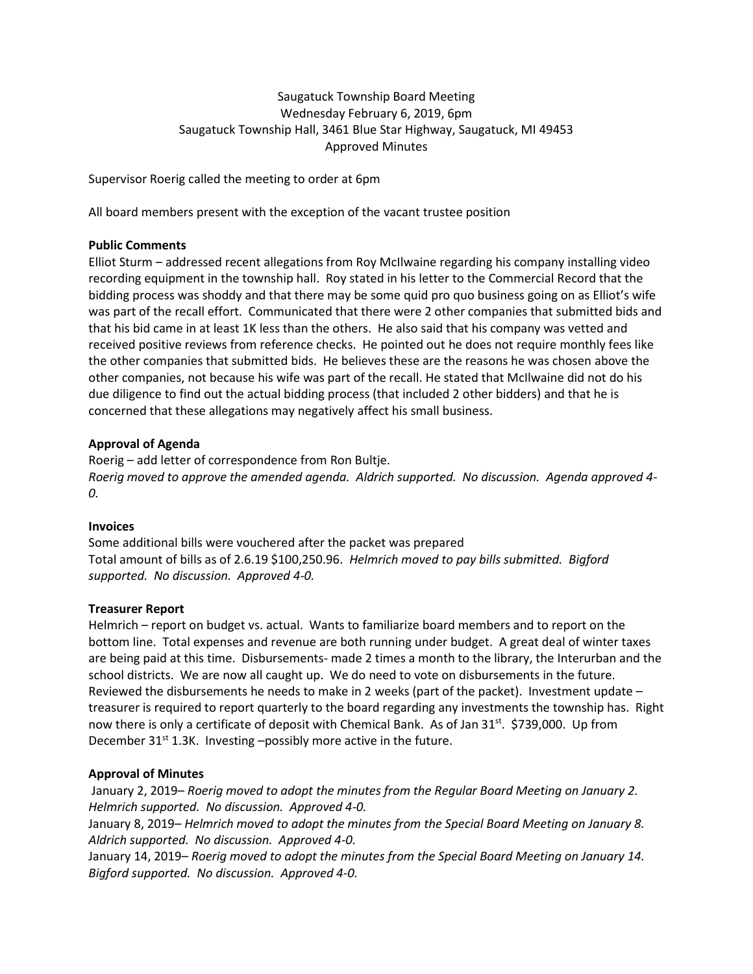# Saugatuck Township Board Meeting Wednesday February 6, 2019, 6pm Saugatuck Township Hall, 3461 Blue Star Highway, Saugatuck, MI 49453 Approved Minutes

Supervisor Roerig called the meeting to order at 6pm

All board members present with the exception of the vacant trustee position

# **Public Comments**

Elliot Sturm – addressed recent allegations from Roy McIlwaine regarding his company installing video recording equipment in the township hall. Roy stated in his letter to the Commercial Record that the bidding process was shoddy and that there may be some quid pro quo business going on as Elliot's wife was part of the recall effort. Communicated that there were 2 other companies that submitted bids and that his bid came in at least 1K less than the others. He also said that his company was vetted and received positive reviews from reference checks. He pointed out he does not require monthly fees like the other companies that submitted bids. He believes these are the reasons he was chosen above the other companies, not because his wife was part of the recall. He stated that McIlwaine did not do his due diligence to find out the actual bidding process (that included 2 other bidders) and that he is concerned that these allegations may negatively affect his small business.

# **Approval of Agenda**

Roerig – add letter of correspondence from Ron Bultje. *Roerig moved to approve the amended agenda. Aldrich supported. No discussion. Agenda approved 4- 0.*

# **Invoices**

Some additional bills were vouchered after the packet was prepared Total amount of bills as of 2.6.19 \$100,250.96. *Helmrich moved to pay bills submitted. Bigford supported. No discussion. Approved 4-0.* 

# **Treasurer Report**

Helmrich – report on budget vs. actual. Wants to familiarize board members and to report on the bottom line. Total expenses and revenue are both running under budget. A great deal of winter taxes are being paid at this time. Disbursements- made 2 times a month to the library, the Interurban and the school districts. We are now all caught up. We do need to vote on disbursements in the future. Reviewed the disbursements he needs to make in 2 weeks (part of the packet). Investment update – treasurer is required to report quarterly to the board regarding any investments the township has. Right now there is only a certificate of deposit with Chemical Bank. As of Jan 31<sup>st</sup>. \$739,000. Up from December  $31^{st}$  1.3K. Investing -possibly more active in the future.

# **Approval of Minutes**

January 2, 2019– *Roerig moved to adopt the minutes from the Regular Board Meeting on January 2. Helmrich supported. No discussion. Approved 4-0.*

January 8, 2019– *Helmrich moved to adopt the minutes from the Special Board Meeting on January 8. Aldrich supported. No discussion. Approved 4-0.*

January 14, 2019– *Roerig moved to adopt the minutes from the Special Board Meeting on January 14. Bigford supported. No discussion. Approved 4-0.*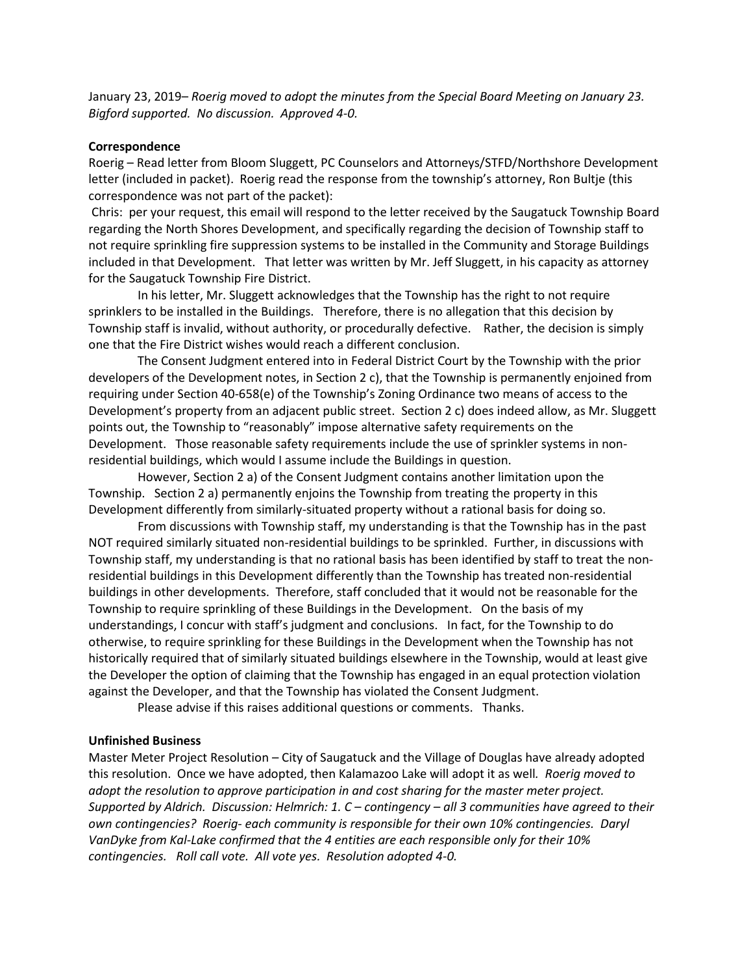January 23, 2019– *Roerig moved to adopt the minutes from the Special Board Meeting on January 23. Bigford supported. No discussion. Approved 4-0.*

#### **Correspondence**

Roerig – Read letter from Bloom Sluggett, PC Counselors and Attorneys/STFD/Northshore Development letter (included in packet). Roerig read the response from the township's attorney, Ron Bultje (this correspondence was not part of the packet):

Chris: per your request, this email will respond to the letter received by the Saugatuck Township Board regarding the North Shores Development, and specifically regarding the decision of Township staff to not require sprinkling fire suppression systems to be installed in the Community and Storage Buildings included in that Development. That letter was written by Mr. Jeff Sluggett, in his capacity as attorney for the Saugatuck Township Fire District.

 In his letter, Mr. Sluggett acknowledges that the Township has the right to not require sprinklers to be installed in the Buildings. Therefore, there is no allegation that this decision by Township staff is invalid, without authority, or procedurally defective. Rather, the decision is simply one that the Fire District wishes would reach a different conclusion.

 The Consent Judgment entered into in Federal District Court by the Township with the prior developers of the Development notes, in Section 2 c), that the Township is permanently enjoined from requiring under Section 40-658(e) of the Township's Zoning Ordinance two means of access to the Development's property from an adjacent public street. Section 2 c) does indeed allow, as Mr. Sluggett points out, the Township to "reasonably" impose alternative safety requirements on the Development. Those reasonable safety requirements include the use of sprinkler systems in nonresidential buildings, which would I assume include the Buildings in question.

 However, Section 2 a) of the Consent Judgment contains another limitation upon the Township. Section 2 a) permanently enjoins the Township from treating the property in this Development differently from similarly-situated property without a rational basis for doing so.

 From discussions with Township staff, my understanding is that the Township has in the past NOT required similarly situated non-residential buildings to be sprinkled. Further, in discussions with Township staff, my understanding is that no rational basis has been identified by staff to treat the nonresidential buildings in this Development differently than the Township has treated non-residential buildings in other developments. Therefore, staff concluded that it would not be reasonable for the Township to require sprinkling of these Buildings in the Development. On the basis of my understandings, I concur with staff's judgment and conclusions. In fact, for the Township to do otherwise, to require sprinkling for these Buildings in the Development when the Township has not historically required that of similarly situated buildings elsewhere in the Township, would at least give the Developer the option of claiming that the Township has engaged in an equal protection violation against the Developer, and that the Township has violated the Consent Judgment.

Please advise if this raises additional questions or comments. Thanks.

#### **Unfinished Business**

Master Meter Project Resolution – City of Saugatuck and the Village of Douglas have already adopted this resolution. Once we have adopted, then Kalamazoo Lake will adopt it as well*. Roerig moved to adopt the resolution to approve participation in and cost sharing for the master meter project. Supported by Aldrich. Discussion: Helmrich: 1. C – contingency – all 3 communities have agreed to their own contingencies? Roerig- each community is responsible for their own 10% contingencies. Daryl VanDyke from Kal-Lake confirmed that the 4 entities are each responsible only for their 10% contingencies. Roll call vote. All vote yes. Resolution adopted 4-0.*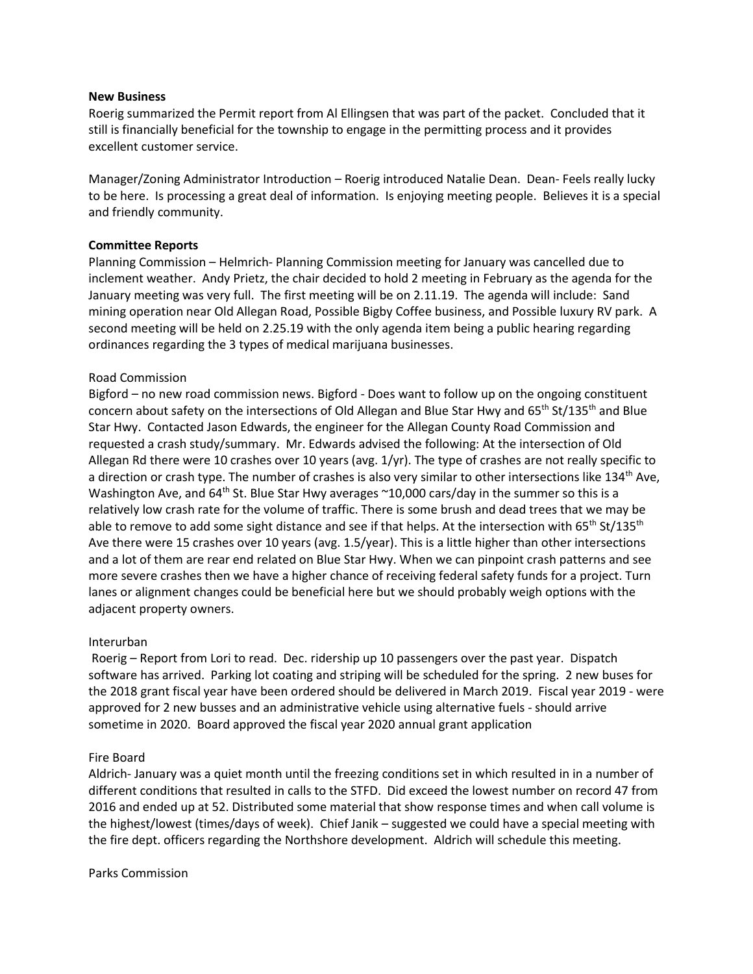#### **New Business**

Roerig summarized the Permit report from Al Ellingsen that was part of the packet. Concluded that it still is financially beneficial for the township to engage in the permitting process and it provides excellent customer service.

Manager/Zoning Administrator Introduction – Roerig introduced Natalie Dean. Dean- Feels really lucky to be here. Is processing a great deal of information. Is enjoying meeting people. Believes it is a special and friendly community.

### **Committee Reports**

Planning Commission – Helmrich- Planning Commission meeting for January was cancelled due to inclement weather. Andy Prietz, the chair decided to hold 2 meeting in February as the agenda for the January meeting was very full. The first meeting will be on 2.11.19. The agenda will include: Sand mining operation near Old Allegan Road, Possible Bigby Coffee business, and Possible luxury RV park. A second meeting will be held on 2.25.19 with the only agenda item being a public hearing regarding ordinances regarding the 3 types of medical marijuana businesses.

### Road Commission

Bigford – no new road commission news. Bigford - Does want to follow up on the ongoing constituent concern about safety on the intersections of Old Allegan and Blue Star Hwy and  $65<sup>th</sup> St/135<sup>th</sup>$  and Blue Star Hwy. Contacted Jason Edwards, the engineer for the Allegan County Road Commission and requested a crash study/summary. Mr. Edwards advised the following: At the intersection of Old Allegan Rd there were 10 crashes over 10 years (avg. 1/yr). The type of crashes are not really specific to a direction or crash type. The number of crashes is also very similar to other intersections like 134<sup>th</sup> Ave, Washington Ave, and 64<sup>th</sup> St. Blue Star Hwy averages ~10,000 cars/day in the summer so this is a relatively low crash rate for the volume of traffic. There is some brush and dead trees that we may be able to remove to add some sight distance and see if that helps. At the intersection with 65<sup>th</sup> St/135<sup>th</sup> Ave there were 15 crashes over 10 years (avg. 1.5/year). This is a little higher than other intersections and a lot of them are rear end related on Blue Star Hwy. When we can pinpoint crash patterns and see more severe crashes then we have a higher chance of receiving federal safety funds for a project. Turn lanes or alignment changes could be beneficial here but we should probably weigh options with the adjacent property owners.

# Interurban

Roerig – Report from Lori to read. Dec. ridership up 10 passengers over the past year. Dispatch software has arrived. Parking lot coating and striping will be scheduled for the spring. 2 new buses for the 2018 grant fiscal year have been ordered should be delivered in March 2019. Fiscal year 2019 - were approved for 2 new busses and an administrative vehicle using alternative fuels - should arrive sometime in 2020. Board approved the fiscal year 2020 annual grant application

### Fire Board

Aldrich- January was a quiet month until the freezing conditions set in which resulted in in a number of different conditions that resulted in calls to the STFD. Did exceed the lowest number on record 47 from 2016 and ended up at 52. Distributed some material that show response times and when call volume is the highest/lowest (times/days of week). Chief Janik – suggested we could have a special meeting with the fire dept. officers regarding the Northshore development. Aldrich will schedule this meeting.

### Parks Commission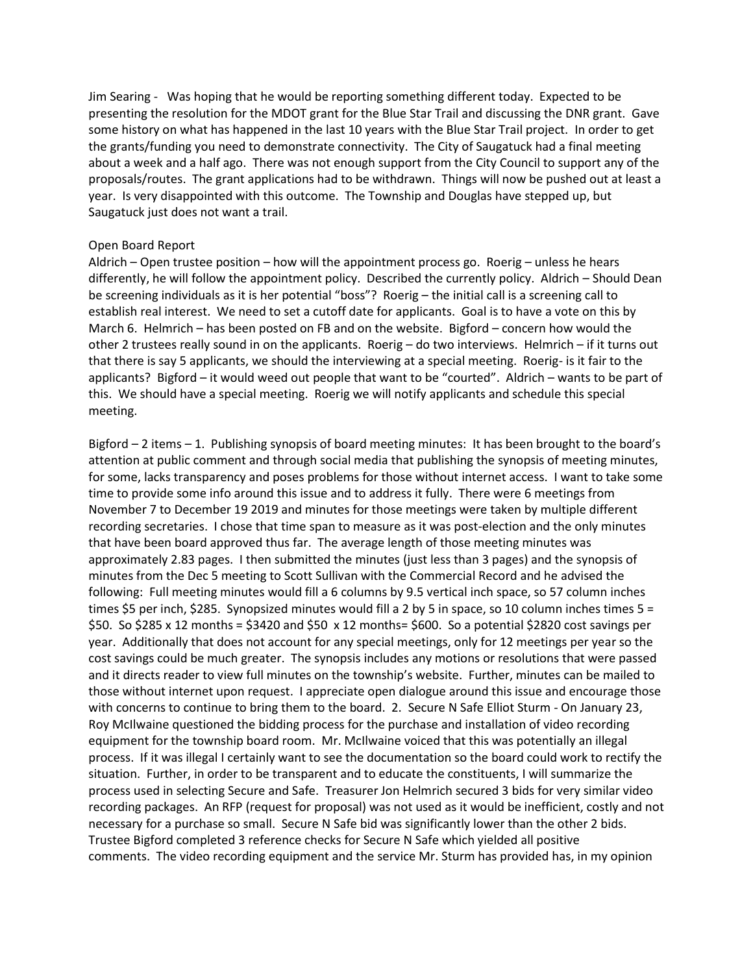Jim Searing - Was hoping that he would be reporting something different today. Expected to be presenting the resolution for the MDOT grant for the Blue Star Trail and discussing the DNR grant. Gave some history on what has happened in the last 10 years with the Blue Star Trail project. In order to get the grants/funding you need to demonstrate connectivity. The City of Saugatuck had a final meeting about a week and a half ago. There was not enough support from the City Council to support any of the proposals/routes. The grant applications had to be withdrawn. Things will now be pushed out at least a year. Is very disappointed with this outcome. The Township and Douglas have stepped up, but Saugatuck just does not want a trail.

#### Open Board Report

Aldrich – Open trustee position – how will the appointment process go. Roerig – unless he hears differently, he will follow the appointment policy. Described the currently policy. Aldrich – Should Dean be screening individuals as it is her potential "boss"? Roerig – the initial call is a screening call to establish real interest. We need to set a cutoff date for applicants. Goal is to have a vote on this by March 6. Helmrich – has been posted on FB and on the website. Bigford – concern how would the other 2 trustees really sound in on the applicants. Roerig – do two interviews. Helmrich – if it turns out that there is say 5 applicants, we should the interviewing at a special meeting. Roerig- is it fair to the applicants? Bigford – it would weed out people that want to be "courted". Aldrich – wants to be part of this. We should have a special meeting. Roerig we will notify applicants and schedule this special meeting.

Bigford – 2 items – 1. Publishing synopsis of board meeting minutes: It has been brought to the board's attention at public comment and through social media that publishing the synopsis of meeting minutes, for some, lacks transparency and poses problems for those without internet access. I want to take some time to provide some info around this issue and to address it fully. There were 6 meetings from November 7 to December 19 2019 and minutes for those meetings were taken by multiple different recording secretaries. I chose that time span to measure as it was post-election and the only minutes that have been board approved thus far. The average length of those meeting minutes was approximately 2.83 pages. I then submitted the minutes (just less than 3 pages) and the synopsis of minutes from the Dec 5 meeting to Scott Sullivan with the Commercial Record and he advised the following: Full meeting minutes would fill a 6 columns by 9.5 vertical inch space, so 57 column inches times \$5 per inch, \$285. Synopsized minutes would fill a 2 by 5 in space, so 10 column inches times 5 = \$50. So \$285 x 12 months = \$3420 and \$50 x 12 months= \$600. So a potential \$2820 cost savings per year. Additionally that does not account for any special meetings, only for 12 meetings per year so the cost savings could be much greater. The synopsis includes any motions or resolutions that were passed and it directs reader to view full minutes on the township's website. Further, minutes can be mailed to those without internet upon request. I appreciate open dialogue around this issue and encourage those with concerns to continue to bring them to the board. 2. Secure N Safe Elliot Sturm - On January 23, Roy McIlwaine questioned the bidding process for the purchase and installation of video recording equipment for the township board room. Mr. McIlwaine voiced that this was potentially an illegal process. If it was illegal I certainly want to see the documentation so the board could work to rectify the situation. Further, in order to be transparent and to educate the constituents, I will summarize the process used in selecting Secure and Safe. Treasurer Jon Helmrich secured 3 bids for very similar video recording packages. An RFP (request for proposal) was not used as it would be inefficient, costly and not necessary for a purchase so small. Secure N Safe bid was significantly lower than the other 2 bids. Trustee Bigford completed 3 reference checks for Secure N Safe which yielded all positive comments. The video recording equipment and the service Mr. Sturm has provided has, in my opinion